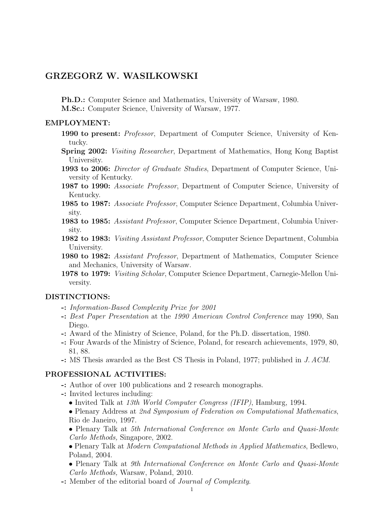# GRZEGORZ W. WASILKOWSKI

Ph.D.: Computer Science and Mathematics, University of Warsaw, 1980.

M.Sc.: Computer Science, University of Warsaw, 1977.

### EMPLOYMENT:

- 1990 to present: Professor, Department of Computer Science, University of Kentucky.
- Spring 2002: Visiting Researcher, Department of Mathematics, Hong Kong Baptist University.
- 1993 to 2006: Director of Graduate Studies, Department of Computer Science, University of Kentucky.
- 1987 to 1990: Associate Professor, Department of Computer Science, University of Kentucky.
- 1985 to 1987: Associate Professor, Computer Science Department, Columbia University.
- 1983 to 1985: Assistant Professor, Computer Science Department, Columbia University.
- 1982 to 1983: Visiting Assistant Professor, Computer Science Department, Columbia University.
- 1980 to 1982: Assistant Professor, Department of Mathematics, Computer Science and Mechanics, University of Warsaw.
- 1978 to 1979: Visiting Scholar, Computer Science Department, Carnegie-Mellon University.

### DISTINCTIONS:

- -: Information-Based Complexity Prize for 2001
- -: Best Paper Presentation at the 1990 American Control Conference may 1990, San Diego.
- -: Award of the Ministry of Science, Poland, for the Ph.D. dissertation, 1980.
- -: Four Awards of the Ministry of Science, Poland, for research achievements, 1979, 80, 81, 88.
- -: MS Thesis awarded as the Best CS Thesis in Poland, 1977; published in J. ACM.

## PROFESSIONAL ACTIVITIES:

- -: Author of over 100 publications and 2 research monographs.
- -: Invited lectures including:
	- Invited Talk at 13th World Computer Congress (IFIP), Hamburg, 1994.
	- Plenary Address at 2nd Symposium of Federation on Computational Mathematics, Rio de Janeiro, 1997.
	- Plenary Talk at 5th International Conference on Monte Carlo and Quasi-Monte Carlo Methods, Singapore, 2002.
	- Plenary Talk at Modern Computational Methods in Applied Mathematics, Bedlewo, Poland, 2004.
	- Plenary Talk at 9th International Conference on Monte Carlo and Quasi-Monte Carlo Methods, Warsaw, Poland, 2010.
- -: Member of the editorial board of Journal of Complexity.